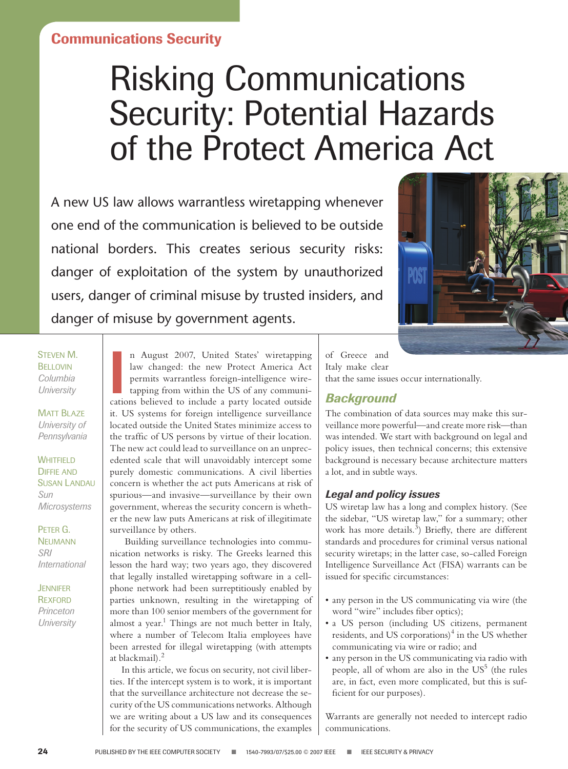### Communications Security

# Risking Communications Security: Potential Hazards of the Protect America Act

A new US law allows warrantless wiretapping whenever one end of the communication is believed to be outside national borders. This creates serious security risks: danger of exploitation of the system by unauthorized users, danger of criminal misuse by trusted insiders, and danger of misuse by government agents.



Steven M. **BELLOVIN** *Columbia University*

**MATT BLAZE** *University of Pennsylvania*

**WHITFIELD** Diffie and Susan Landau *Sun Microsystems*

Peter G. **NEUMANN** *SRI International*

**JENNIFER REXFORD** *Princeton University*

If August 2007, Officer States Wifetapping<br>law changed: the new Protect America Act<br>permits warrantless foreign-intelligence wire-<br>tapping from within the US of any communi-<br>cations believed to include a party located outs n August 2007, United States' wiretapping law changed: the new Protect America Act permits warrantless foreign-intelligence wiretapping from within the US of any communiit. US systems for foreign intelligence surveillance located outside the United States minimize access to the traffic of US persons by virtue of their location. The new act could lead to surveillance on an unprecedented scale that will unavoidably intercept some purely domestic communications. A civil liberties concern is whether the act puts Americans at risk of spurious—and invasive—surveillance by their own government, whereas the security concern is whether the new law puts Americans at risk of illegitimate surveillance by others.

 Building surveillance technologies into communication networks is risky. The Greeks learned this lesson the hard way; two years ago, they discovered that legally installed wiretapping software in a cellphone network had been surreptitiously enabled by parties unknown, resulting in the wiretapping of more than 100 senior members of the government for almost a year.<sup>1</sup> Things are not much better in Italy, where a number of Telecom Italia employees have been arrested for illegal wiretapping (with attempts at blackmail).<sup>2</sup>

In this article, we focus on security, not civil liberties. If the intercept system is to work, it is important that the surveillance architecture not decrease the security of the US communications networks. Although we are writing about a US law and its consequences for the security of US communications, the examples of Greece and Italy make clear that the same issues occur internationally.

#### *Background*

The combination of data sources may make this surveillance more powerful—and create more risk—than was intended. We start with background on legal and policy issues, then technical concerns; this extensive background is necessary because architecture matters a lot, and in subtle ways.

#### *Legal and policy issues*

US wiretap law has a long and complex history. (See the sidebar, "US wiretap law," for a summary; other work has more details.<sup>3</sup>) Briefly, there are different standards and procedures for criminal versus national security wiretaps; in the latter case, so-called Foreign Intelligence Surveillance Act (FISA) warrants can be issued for specific circumstances:

- any person in the US communicating via wire (the word "wire" includes fiber optics);
- a US person (including US citizens, permanent residents, and US corporations)<sup>4</sup> in the US whether communicating via wire or radio; and
- any person in the US communicating via radio with people, all of whom are also in the US<sup>5</sup> (the rules are, in fact, even more complicated, but this is sufficient for our purposes).

Warrants are generally not needed to intercept radio communications.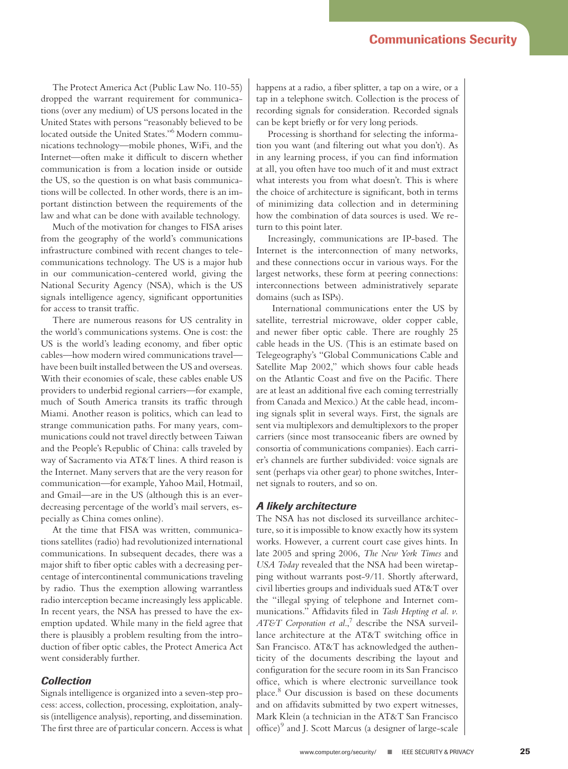The Protect America Act (Public Law No. 110-55) dropped the warrant requirement for communications (over any medium) of US persons located in the United States with persons "reasonably believed to be located outside the United States."6 Modern communications technology—mobile phones, WiFi, and the Internet—often make it difficult to discern whether communication is from a location inside or outside the US, so the question is on what basis communications will be collected. In other words, there is an important distinction between the requirements of the law and what can be done with available technology.

Much of the motivation for changes to FISA arises from the geography of the world's communications infrastructure combined with recent changes to telecommunications technology. The US is a major hub in our communication-centered world, giving the National Security Agency (NSA), which is the US signals intelligence agency, significant opportunities for access to transit traffic.

There are numerous reasons for US centrality in the world's communications systems. One is cost: the US is the world's leading economy, and fiber optic cables—how modern wired communications travel have been built installed between the US and overseas. With their economies of scale, these cables enable US providers to underbid regional carriers—for example, much of South America transits its traffic through Miami. Another reason is politics, which can lead to strange communication paths. For many years, communications could not travel directly between Taiwan and the People's Republic of China: calls traveled by way of Sacramento via AT&T lines. A third reason is the Internet. Many servers that are the very reason for communication—for example, Yahoo Mail, Hotmail, and Gmail—are in the US (although this is an everdecreasing percentage of the world's mail servers, especially as China comes online).

At the time that FISA was written, communications satellites (radio) had revolutionized international communications. In subsequent decades, there was a major shift to fiber optic cables with a decreasing percentage of intercontinental communications traveling by radio. Thus the exemption allowing warrantless radio interception became increasingly less applicable. In recent years, the NSA has pressed to have the exemption updated. While many in the field agree that there is plausibly a problem resulting from the introduction of fiber optic cables, the Protect America Act went considerably further.

#### *Collection*

Signals intelligence is organized into a seven-step process: access, collection, processing, exploitation, analysis (intelligence analysis), reporting, and dissemination. The first three are of particular concern. Access is what happens at a radio, a fiber splitter, a tap on a wire, or a tap in a telephone switch. Collection is the process of recording signals for consideration. Recorded signals can be kept briefly or for very long periods.

Processing is shorthand for selecting the information you want (and filtering out what you don't). As in any learning process, if you can find information at all, you often have too much of it and must extract what interests you from what doesn't. This is where the choice of architecture is significant, both in terms of minimizing data collection and in determining how the combination of data sources is used. We return to this point later.

Increasingly, communications are IP-based. The Internet is the interconnection of many networks, and these connections occur in various ways. For the largest networks, these form at peering connections: interconnections between administratively separate domains (such as ISPs).

 International communications enter the US by satellite, terrestrial microwave, older copper cable, and newer fiber optic cable. There are roughly 25 cable heads in the US. (This is an estimate based on Telegeography's "Global Communications Cable and Satellite Map 2002," which shows four cable heads on the Atlantic Coast and five on the Pacific. There are at least an additional five each coming terrestrially from Canada and Mexico.) At the cable head, incoming signals split in several ways. First, the signals are sent via multiplexors and demultiplexors to the proper carriers (since most transoceanic fibers are owned by consortia of communications companies). Each carrier's channels are further subdivided: voice signals are sent (perhaps via other gear) to phone switches, Internet signals to routers, and so on.

#### *A likely architecture*

The NSA has not disclosed its surveillance architecture, so it is impossible to know exactly how its system works. However, a current court case gives hints. In late 2005 and spring 2006, *The New York Times* and *USA Today* revealed that the NSA had been wiretapping without warrants post-9/11. Shortly afterward, civil liberties groups and individuals sued AT&T over the "illegal spying of telephone and Internet communications." Affidavits filed in *Tash Hepting et al. v.*  AT&T Corporation et al.,<sup>7</sup> describe the NSA surveillance architecture at the AT&T switching office in San Francisco. AT&T has acknowledged the authenticity of the documents describing the layout and configuration for the secure room in its San Francisco office, which is where electronic surveillance took place.<sup>8</sup> Our discussion is based on these documents and on affidavits submitted by two expert witnesses, Mark Klein (a technician in the AT&T San Francisco office)<sup>9</sup> and J. Scott Marcus (a designer of large-scale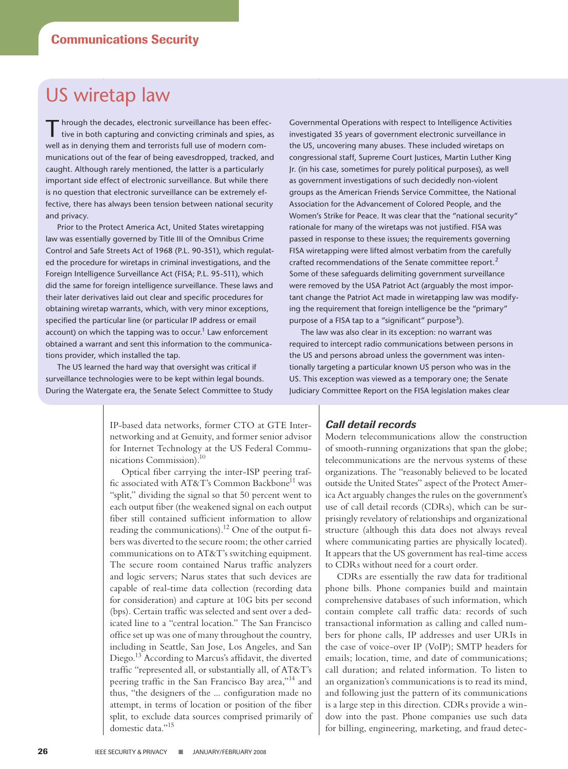### US wiretap law

through the decades, electronic surveillance has been effective in both capturing and convicting criminals and spies, as well as in denying them and terrorists full use of modern communications out of the fear of being eavesdropped, tracked, and caught. Although rarely mentioned, the latter is a particularly important side effect of electronic surveillance. But while there is no question that electronic surveillance can be extremely effective, there has always been tension between national security and privacy.

Prior to the Protect America Act, United States wiretapping law was essentially governed by Title III of the Omnibus Crime Control and Safe Streets Act of 1968 (P.L. 90-351), which regulated the procedure for wiretaps in criminal investigations, and the Foreign Intelligence Surveillance Act (FISA; P.L. 95-511), which did the same for foreign intelligence surveillance. These laws and their later derivatives laid out clear and specific procedures for obtaining wiretap warrants, which, with very minor exceptions, specified the particular line (or particular IP address or email account) on which the tapping was to occur.<sup>1</sup> Law enforcement obtained a warrant and sent this information to the communications provider, which installed the tap.

The US learned the hard way that oversight was critical if surveillance technologies were to be kept within legal bounds. During the Watergate era, the Senate Select Committee to Study

> IP-based data networks, former CTO at GTE Internetworking and at Genuity, and former senior advisor for Internet Technology at the US Federal Communications Commission).10

> Optical fiber carrying the inter-ISP peering traffic associated with AT&T's Common Backbone<sup>11</sup> was "split," dividing the signal so that 50 percent went to each output fiber (the weakened signal on each output fiber still contained sufficient information to allow reading the communications).<sup>12</sup> One of the output fibers was diverted to the secure room; the other carried communications on to AT&T's switching equipment. The secure room contained Narus traffic analyzers and logic servers; Narus states that such devices are capable of real-time data collection (recording data for consideration) and capture at 10G bits per second (bps). Certain traffic was selected and sent over a dedicated line to a "central location." The San Francisco office set up was one of many throughout the country, including in Seattle, San Jose, Los Angeles, and San Diego.<sup>13</sup> According to Marcus's affidavit, the diverted traffic "represented all, or substantially all, of AT&T's peering traffic in the San Francisco Bay area,"<sup>14</sup> and thus, "the designers of the ... configuration made no attempt, in terms of location or position of the fiber split, to exclude data sources comprised primarily of domestic data."<sup>15</sup>

Governmental Operations with respect to Intelligence Activities investigated 35 years of government electronic surveillance in the US, uncovering many abuses. These included wiretaps on congressional staff, Supreme Court Justices, Martin Luther King Jr. (in his case, sometimes for purely political purposes), as well as government investigations of such decidedly non-violent groups as the American Friends Service Committee, the National Association for the Advancement of Colored People, and the Women's Strike for Peace. It was clear that the "national security" rationale for many of the wiretaps was not justified. FISA was passed in response to these issues; the requirements governing FISA wiretapping were lifted almost verbatim from the carefully crafted recommendations of the Senate committee report.<sup>2</sup> Some of these safeguards delimiting government surveillance were removed by the USA Patriot Act (arguably the most important change the Patriot Act made in wiretapping law was modifying the requirement that foreign intelligence be the "primary" purpose of a FISA tap to a "significant" purpose<sup>3</sup>).

The law was also clear in its exception: no warrant was required to intercept radio communications between persons in the US and persons abroad unless the government was intentionally targeting a particular known US person who was in the US. This exception was viewed as a temporary one; the Senate Judiciary Committee Report on the FISA legislation makes clear

#### *Call detail records*

Modern telecommunications allow the construction of smooth-running organizations that span the globe; telecommunications are the nervous systems of these organizations. The "reasonably believed to be located outside the United States" aspect of the Protect America Act arguably changes the rules on the government's use of call detail records (CDRs), which can be surprisingly revelatory of relationships and organizational structure (although this data does not always reveal where communicating parties are physically located). It appears that the US government has real-time access to CDRs without need for a court order.

CDRs are essentially the raw data for traditional phone bills. Phone companies build and maintain comprehensive databases of such information, which contain complete call traffic data: records of such transactional information as calling and called numbers for phone calls, IP addresses and user URIs in the case of voice-over IP (VoIP); SMTP headers for emails; location, time, and date of communications; call duration; and related information. To listen to an organization's communications is to read its mind, and following just the pattern of its communications is a large step in this direction. CDRs provide a window into the past. Phone companies use such data for billing, engineering, marketing, and fraud detec-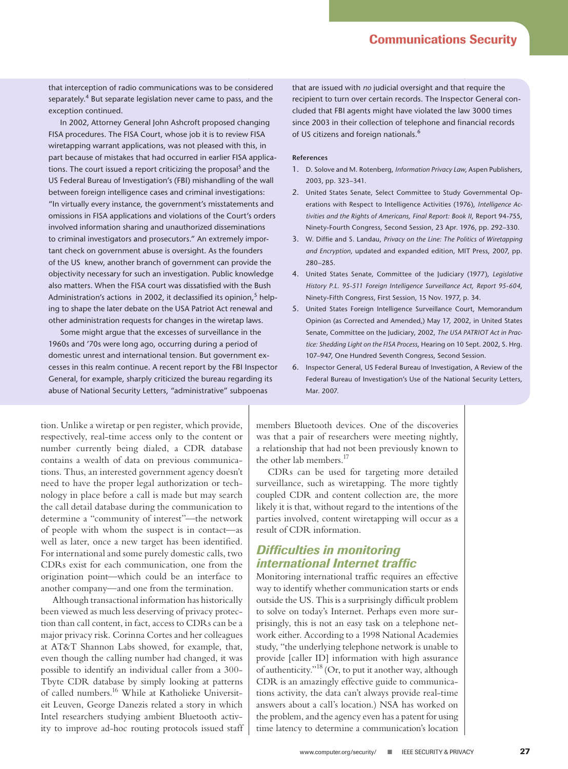that interception of radio communications was to be considered separately.<sup>4</sup> But separate legislation never came to pass, and the exception continued.

In 2002, Attorney General John Ashcroft proposed changing FISA procedures. The FISA Court, whose job it is to review FISA wiretapping warrant applications, was not pleased with this, in part because of mistakes that had occurred in earlier FISA applications. The court issued a report criticizing the proposal<sup>5</sup> and the US Federal Bureau of Investigation's (FBI) mishandling of the wall between foreign intelligence cases and criminal investigations: "In virtually every instance, the government's misstatements and omissions in FISA applications and violations of the Court's orders involved information sharing and unauthorized disseminations to criminal investigators and prosecutors." An extremely important check on government abuse is oversight. As the founders of the US knew, another branch of government can provide the objectivity necessary for such an investigation. Public knowledge also matters. When the FISA court was dissatisfied with the Bush Administration's actions in 2002, it declassified its opinion,<sup>5</sup> helping to shape the later debate on the USA Patriot Act renewal and other administration requests for changes in the wiretap laws.

Some might argue that the excesses of surveillance in the 1960s and '70s were long ago, occurring during a period of domestic unrest and international tension. But government excesses in this realm continue. A recent report by the FBI Inspector General, for example, sharply criticized the bureau regarding its abuse of National Security Letters, "administrative" subpoenas

that are issued with *no* judicial oversight and that require the recipient to turn over certain records. The Inspector General concluded that FBI agents might have violated the law 3000 times since 2003 in their collection of telephone and financial records of US citizens and foreign nationals.<sup>6</sup>

#### **References**

- D. Solove and M. Rotenberg, *Information Privacy Law*, Aspen Publishers, 1. 2003, pp. 323–341.
- 2. United States Senate, Select Committee to Study Governmental Operations with Respect to Intelligence Activities (1976), *Intelligence Activities and the Rights of Americans, Final Report: Book II*, Report 94-755, Ninety-Fourth Congress, Second Session, 23 Apr. 1976, pp. 292–330.
- W. Diffie and S. Landau, *Privacy on the Line: The Politics of Wiretapping*  3. *and Encryption*, updated and expanded edition, MIT Press, 2007, pp. 280–285.
- United States Senate, Committee of the Judiciary (1977), *Legislative*  4. *History P.L. 95-511 Foreign Intelligence Surveillance Act, Report 95-604*, Ninety-Fifth Congress, First Session, 15 Nov. 1977, p. 34.
- 5. United States Foreign Intelligence Surveillance Court, Memorandum Opinion (as Corrected and Amended,) May 17, 2002, in United States Senate, Committee on the Judiciary, 2002, *The USA PATRIOT Act in Practice: Shedding Light on the FISA Process*, Hearing on 10 Sept. 2002, S. Hrg. 107–947, One Hundred Seventh Congress, Second Session.
- 6. Inspector General, US Federal Bureau of Investigation, A Review of the Federal Bureau of Investigation's Use of the National Security Letters, Mar. 2007.

tion. Unlike a wiretap or pen register, which provide, respectively, real-time access only to the content or number currently being dialed, a CDR database contains a wealth of data on previous communications. Thus, an interested government agency doesn't need to have the proper legal authorization or technology in place before a call is made but may search the call detail database during the communication to determine a "community of interest"—the network of people with whom the suspect is in contact—as well as later, once a new target has been identified. For international and some purely domestic calls, two CDRs exist for each communication, one from the origination point—which could be an interface to another company—and one from the termination.

Although transactional information has historically been viewed as much less deserving of privacy protection than call content, in fact, access to CDRs can be a major privacy risk. Corinna Cortes and her colleagues at AT&T Shannon Labs showed, for example, that, even though the calling number had changed, it was possible to identify an individual caller from a 300- Tbyte CDR database by simply looking at patterns of called numbers.16 While at Katholieke Universiteit Leuven, George Danezis related a story in which Intel researchers studying ambient Bluetooth activity to improve ad-hoc routing protocols issued staff members Bluetooth devices. One of the discoveries was that a pair of researchers were meeting nightly, a relationship that had not been previously known to the other lab members.<sup>17</sup>

CDRs can be used for targeting more detailed surveillance, such as wiretapping. The more tightly coupled CDR and content collection are, the more likely it is that, without regard to the intentions of the parties involved, content wiretapping will occur as a result of CDR information.

#### *Difficulties in monitoring international Internet traffic*

Monitoring international traffic requires an effective way to identify whether communication starts or ends outside the US. This is a surprisingly difficult problem to solve on today's Internet. Perhaps even more surprisingly, this is not an easy task on a telephone network either. According to a 1998 National Academies study, "the underlying telephone network is unable to provide [caller ID] information with high assurance of authenticity."18 (Or, to put it another way, although CDR is an amazingly effective guide to communications activity, the data can't always provide real-time answers about a call's location.) NSA has worked on the problem, and the agency even has a patent for using time latency to determine a communication's location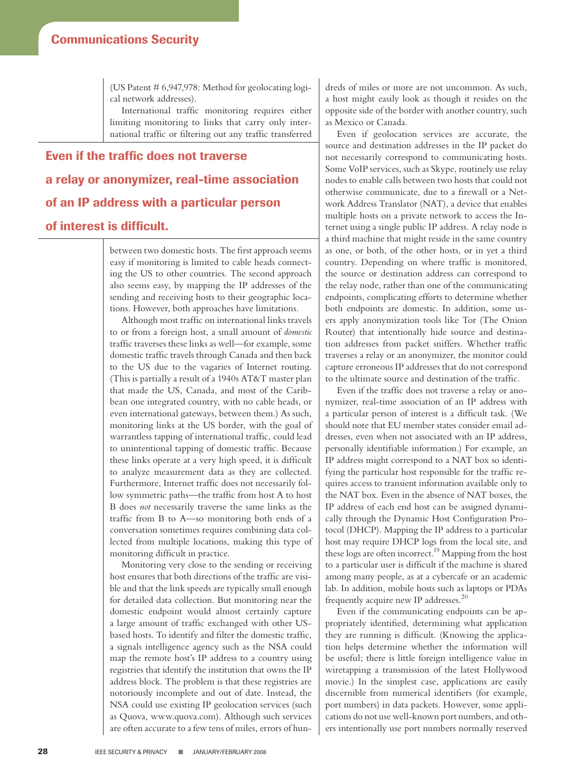(US Patent # 6,947,978: Method for geolocating logical network addresses).

International traffic monitoring requires either limiting monitoring to links that carry only international traffic or filtering out any traffic transferred

### Even if the traffic does not traverse a relay or anonymizer, real-time association of an IP address with a particular person of interest is difficult.

between two domestic hosts. The first approach seems easy if monitoring is limited to cable heads connecting the US to other countries. The second approach also seems easy, by mapping the IP addresses of the sending and receiving hosts to their geographic locations. However, both approaches have limitations.

Although most traffic on international links travels to or from a foreign host, a small amount of *domestic* traffic traverses these links as well—for example, some domestic traffic travels through Canada and then back to the US due to the vagaries of Internet routing. (This is partially a result of a 1940s AT&T master plan that made the US, Canada, and most of the Caribbean one integrated country, with no cable heads, or even international gateways, between them.) As such, monitoring links at the US border, with the goal of warrantless tapping of international traffic, could lead to unintentional tapping of domestic traffic. Because these links operate at a very high speed, it is difficult to analyze measurement data as they are collected. Furthermore, Internet traffic does not necessarily follow symmetric paths—the traffic from host A to host B does *not* necessarily traverse the same links as the traffic from B to A—so monitoring both ends of a conversation sometimes requires combining data collected from multiple locations, making this type of monitoring difficult in practice.

Monitoring very close to the sending or receiving host ensures that both directions of the traffic are visible and that the link speeds are typically small enough for detailed data collection. But monitoring near the domestic endpoint would almost certainly capture a large amount of traffic exchanged with other USbased hosts. To identify and filter the domestic traffic, a signals intelligence agency such as the NSA could map the remote host's IP address to a country using registries that identify the institution that owns the IP address block. The problem is that these registries are notoriously incomplete and out of date. Instead, the NSA could use existing IP geolocation services (such as Quova, www.quova.com). Although such services are often accurate to a few tens of miles, errors of hundreds of miles or more are not uncommon. As such, a host might easily look as though it resides on the opposite side of the border with another country, such as Mexico or Canada.

Even if geolocation services are accurate, the source and destination addresses in the IP packet do not necessarily correspond to communicating hosts. Some VoIP services, such as Skype, routinely use relay nodes to enable calls between two hosts that could not otherwise communicate, due to a firewall or a Network Address Translator (NAT), a device that enables multiple hosts on a private network to access the Internet using a single public IP address. A relay node is a third machine that might reside in the same country as one, or both, of the other hosts, or in yet a third country. Depending on where traffic is monitored, the source or destination address can correspond to the relay node, rather than one of the communicating endpoints, complicating efforts to determine whether both endpoints are domestic. In addition, some users apply anonymization tools like Tor (The Onion Router) that intentionally hide source and destination addresses from packet sniffers. Whether traffic traverses a relay or an anonymizer, the monitor could capture erroneous IP addresses that do not correspond to the ultimate source and destination of the traffic.

Even if the traffic does not traverse a relay or anonymizer, real-time association of an IP address with a particular person of interest is a difficult task. (We should note that EU member states consider email addresses, even when not associated with an IP address, personally identifiable information.) For example, an IP address might correspond to a NAT box so identifying the particular host responsible for the traffic requires access to transient information available only to the NAT box. Even in the absence of NAT boxes, the IP address of each end host can be assigned dynamically through the Dynamic Host Configuration Protocol (DHCP). Mapping the IP address to a particular host may require DHCP logs from the local site, and these logs are often incorrect.<sup>19</sup> Mapping from the host to a particular user is difficult if the machine is shared among many people, as at a cybercafe or an academic lab. In addition, mobile hosts such as laptops or PDAs frequently acquire new IP addresses. $^{20}$ 

Even if the communicating endpoints can be appropriately identified, determining what application they are running is difficult. (Knowing the application helps determine whether the information will be useful; there is little foreign intelligence value in wiretapping a transmission of the latest Hollywood movie.) In the simplest case, applications are easily discernible from numerical identifiers (for example, port numbers) in data packets. However, some applications do not use well-known port numbers, and others intentionally use port numbers normally reserved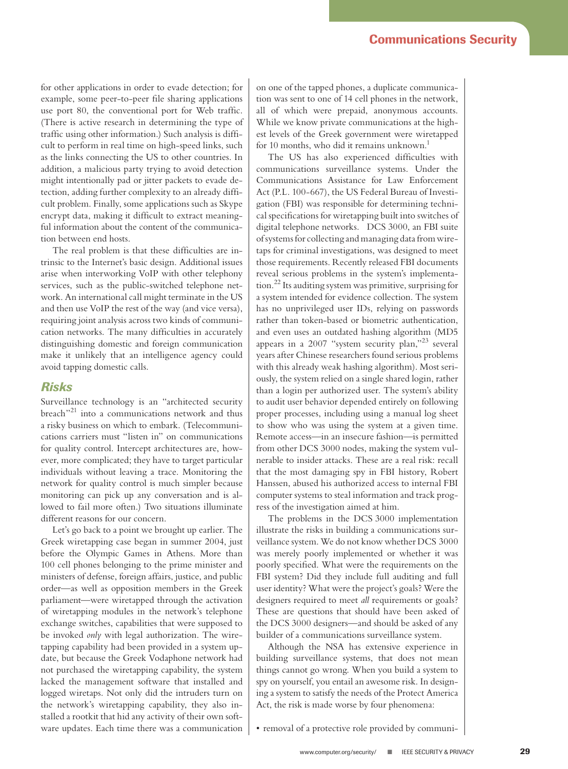for other applications in order to evade detection; for example, some peer-to-peer file sharing applications use port 80, the conventional port for Web traffic. (There is active research in determining the type of traffic using other information.) Such analysis is difficult to perform in real time on high-speed links, such as the links connecting the US to other countries. In addition, a malicious party trying to avoid detection might intentionally pad or jitter packets to evade detection, adding further complexity to an already difficult problem. Finally, some applications such as Skype encrypt data, making it difficult to extract meaningful information about the content of the communication between end hosts.

The real problem is that these difficulties are intrinsic to the Internet's basic design. Additional issues arise when interworking VoIP with other telephony services, such as the public-switched telephone network. An international call might terminate in the US and then use VoIP the rest of the way (and vice versa), requiring joint analysis across two kinds of communication networks. The many difficulties in accurately distinguishing domestic and foreign communication make it unlikely that an intelligence agency could avoid tapping domestic calls.

#### *Risks*

Surveillance technology is an "architected security breach"21 into a communications network and thus a risky business on which to embark. (Telecommunications carriers must "listen in" on communications for quality control. Intercept architectures are, however, more complicated; they have to target particular individuals without leaving a trace. Monitoring the network for quality control is much simpler because monitoring can pick up any conversation and is allowed to fail more often.) Two situations illuminate different reasons for our concern.

Let's go back to a point we brought up earlier. The Greek wiretapping case began in summer 2004, just before the Olympic Games in Athens. More than 100 cell phones belonging to the prime minister and ministers of defense, foreign affairs, justice, and public order—as well as opposition members in the Greek parliament—were wiretapped through the activation of wiretapping modules in the network's telephone exchange switches, capabilities that were supposed to be invoked *only* with legal authorization. The wiretapping capability had been provided in a system update, but because the Greek Vodaphone network had not purchased the wiretapping capability, the system lacked the management software that installed and logged wiretaps. Not only did the intruders turn on the network's wiretapping capability, they also installed a rootkit that hid any activity of their own software updates. Each time there was a communication on one of the tapped phones, a duplicate communication was sent to one of 14 cell phones in the network, all of which were prepaid, anonymous accounts. While we know private communications at the highest levels of the Greek government were wiretapped for 10 months, who did it remains unknown.<sup>1</sup>

The US has also experienced difficulties with communications surveillance systems. Under the Communications Assistance for Law Enforcement Act (P.L. 100-667), the US Federal Bureau of Investigation (FBI) was responsible for determining technical specifications for wiretapping built into switches of digital telephone networks. DCS 3000, an FBI suite of systems for collecting and managing data from wiretaps for criminal investigations, was designed to meet those requirements. Recently released FBI documents reveal serious problems in the system's implementation.22 Its auditing system was primitive, surprising for a system intended for evidence collection. The system has no unprivileged user IDs, relying on passwords rather than token-based or biometric authentication, and even uses an outdated hashing algorithm (MD5 appears in a 2007 "system security plan,"<sup>23</sup> several years after Chinese researchers found serious problems with this already weak hashing algorithm). Most seriously, the system relied on a single shared login, rather than a login per authorized user. The system's ability to audit user behavior depended entirely on following proper processes, including using a manual log sheet to show who was using the system at a given time. Remote access—in an insecure fashion—is permitted from other DCS 3000 nodes, making the system vulnerable to insider attacks. These are a real risk: recall that the most damaging spy in FBI history, Robert Hanssen, abused his authorized access to internal FBI computer systems to steal information and track progress of the investigation aimed at him.

The problems in the DCS 3000 implementation illustrate the risks in building a communications surveillance system. We do not know whether DCS 3000 was merely poorly implemented or whether it was poorly specified. What were the requirements on the FBI system? Did they include full auditing and full user identity? What were the project's goals? Were the designers required to meet *all* requirements or goals? These are questions that should have been asked of the DCS 3000 designers—and should be asked of any builder of a communications surveillance system.

Although the NSA has extensive experience in building surveillance systems, that does not mean things cannot go wrong. When you build a system to spy on yourself, you entail an awesome risk. In designing a system to satisfy the needs of the Protect America Act, the risk is made worse by four phenomena:

• removal of a protective role provided by communi-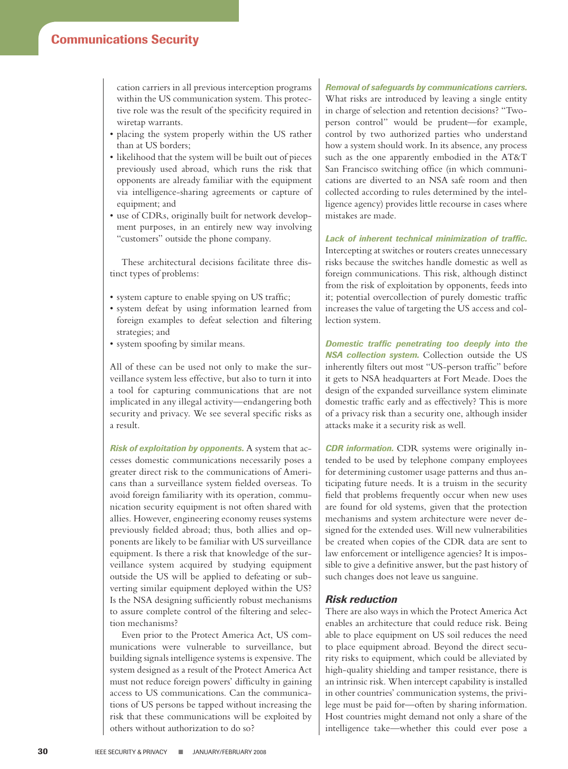cation carriers in all previous interception programs within the US communication system. This protective role was the result of the specificity required in wiretap warrants.

- placing the system properly within the US rather than at US borders;
- likelihood that the system will be built out of pieces previously used abroad, which runs the risk that opponents are already familiar with the equipment via intelligence-sharing agreements or capture of equipment; and
- use of CDRs, originally built for network development purposes, in an entirely new way involving "customers" outside the phone company.

These architectural decisions facilitate three distinct types of problems:

- system capture to enable spying on US traffic;
- system defeat by using information learned from foreign examples to defeat selection and filtering strategies; and
- system spoofing by similar means.

All of these can be used not only to make the surveillance system less effective, but also to turn it into a tool for capturing communications that are not implicated in any illegal activity—endangering both security and privacy. We see several specific risks as a result.

*Risk of exploitation by opponents.* A system that accesses domestic communications necessarily poses a greater direct risk to the communications of Americans than a surveillance system fielded overseas. To avoid foreign familiarity with its operation, communication security equipment is not often shared with allies. However, engineering economy reuses systems previously fielded abroad; thus, both allies and opponents are likely to be familiar with US surveillance equipment. Is there a risk that knowledge of the surveillance system acquired by studying equipment outside the US will be applied to defeating or subverting similar equipment deployed within the US? Is the NSA designing sufficiently robust mechanisms to assure complete control of the filtering and selection mechanisms?

Even prior to the Protect America Act, US communications were vulnerable to surveillance, but building signals intelligence systems is expensive. The system designed as a result of the Protect America Act must not reduce foreign powers' difficulty in gaining access to US communications. Can the communications of US persons be tapped without increasing the risk that these communications will be exploited by others without authorization to do so?

*Removal of safeguards by communications carriers.*  What risks are introduced by leaving a single entity in charge of selection and retention decisions? "Twoperson control" would be prudent—for example, control by two authorized parties who understand how a system should work. In its absence, any process such as the one apparently embodied in the AT&T San Francisco switching office (in which communications are diverted to an NSA safe room and then collected according to rules determined by the intelligence agency) provides little recourse in cases where mistakes are made.

*Lack of inherent technical minimization of traffic.*  Intercepting at switches or routers creates unnecessary risks because the switches handle domestic as well as foreign communications. This risk, although distinct from the risk of exploitation by opponents, feeds into it; potential overcollection of purely domestic traffic increases the value of targeting the US access and collection system.

*Domestic traffic penetrating too deeply into the NSA collection system.* Collection outside the US inherently filters out most "US-person traffic" before it gets to NSA headquarters at Fort Meade. Does the design of the expanded surveillance system eliminate domestic traffic early and as effectively? This is more of a privacy risk than a security one, although insider attacks make it a security risk as well.

*CDR information.* CDR systems were originally intended to be used by telephone company employees for determining customer usage patterns and thus anticipating future needs. It is a truism in the security field that problems frequently occur when new uses are found for old systems, given that the protection mechanisms and system architecture were never designed for the extended uses. Will new vulnerabilities be created when copies of the CDR data are sent to law enforcement or intelligence agencies? It is impossible to give a definitive answer, but the past history of such changes does not leave us sanguine.

#### *Risk reduction*

There are also ways in which the Protect America Act enables an architecture that could reduce risk. Being able to place equipment on US soil reduces the need to place equipment abroad. Beyond the direct security risks to equipment, which could be alleviated by high-quality shielding and tamper resistance, there is an intrinsic risk. When intercept capability is installed in other countries' communication systems, the privilege must be paid for—often by sharing information. Host countries might demand not only a share of the intelligence take—whether this could ever pose a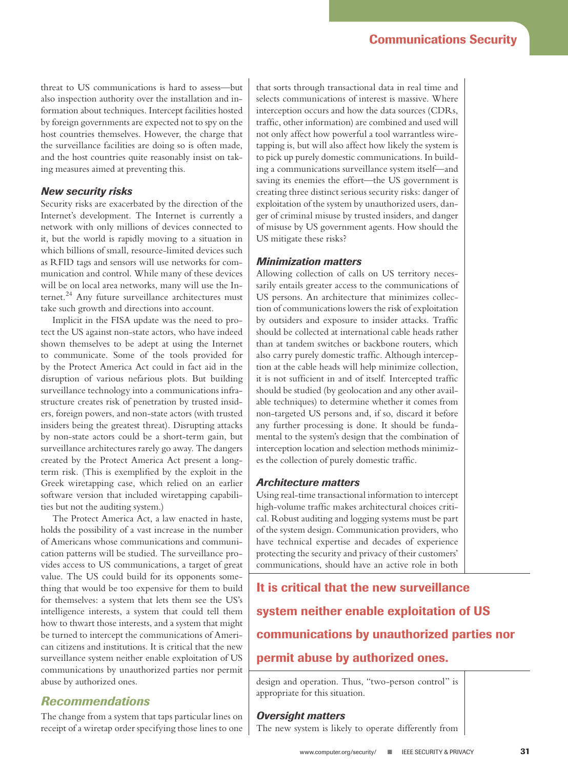threat to US communications is hard to assess—but also inspection authority over the installation and information about techniques. Intercept facilities hosted by foreign governments are expected not to spy on the host countries themselves. However, the charge that the surveillance facilities are doing so is often made, and the host countries quite reasonably insist on taking measures aimed at preventing this.

#### *New security risks*

Security risks are exacerbated by the direction of the Internet's development. The Internet is currently a network with only millions of devices connected to it, but the world is rapidly moving to a situation in which billions of small, resource-limited devices such as RFID tags and sensors will use networks for communication and control. While many of these devices will be on local area networks, many will use the Internet.<sup>24</sup> Any future surveillance architectures must take such growth and directions into account.

Implicit in the FISA update was the need to protect the US against non-state actors, who have indeed shown themselves to be adept at using the Internet to communicate. Some of the tools provided for by the Protect America Act could in fact aid in the disruption of various nefarious plots. But building surveillance technology into a communications infrastructure creates risk of penetration by trusted insiders, foreign powers, and non-state actors (with trusted insiders being the greatest threat). Disrupting attacks by non-state actors could be a short-term gain, but surveillance architectures rarely go away. The dangers created by the Protect America Act present a longterm risk. (This is exemplified by the exploit in the Greek wiretapping case, which relied on an earlier software version that included wiretapping capabilities but not the auditing system.)

The Protect America Act, a law enacted in haste, holds the possibility of a vast increase in the number of Americans whose communications and communication patterns will be studied. The surveillance provides access to US communications, a target of great value. The US could build for its opponents something that would be too expensive for them to build for themselves: a system that lets them see the US's intelligence interests, a system that could tell them how to thwart those interests, and a system that might be turned to intercept the communications of American citizens and institutions. It is critical that the new surveillance system neither enable exploitation of US communications by unauthorized parties nor permit abuse by authorized ones.

#### *Recommendations*

The change from a system that taps particular lines on receipt of a wiretap order specifying those lines to one that sorts through transactional data in real time and selects communications of interest is massive. Where interception occurs and how the data sources (CDRs, traffic, other information) are combined and used will not only affect how powerful a tool warrantless wiretapping is, but will also affect how likely the system is to pick up purely domestic communications. In building a communications surveillance system itself—and saving its enemies the effort—the US government is creating three distinct serious security risks: danger of exploitation of the system by unauthorized users, danger of criminal misuse by trusted insiders, and danger of misuse by US government agents. How should the US mitigate these risks?

#### *Minimization matters*

Allowing collection of calls on US territory necessarily entails greater access to the communications of US persons. An architecture that minimizes collection of communications lowers the risk of exploitation by outsiders and exposure to insider attacks. Traffic should be collected at international cable heads rather than at tandem switches or backbone routers, which also carry purely domestic traffic. Although interception at the cable heads will help minimize collection, it is not sufficient in and of itself. Intercepted traffic should be studied (by geolocation and any other available techniques) to determine whether it comes from non-targeted US persons and, if so, discard it before any further processing is done. It should be fundamental to the system's design that the combination of interception location and selection methods minimizes the collection of purely domestic traffic.

#### *Architecture matters*

Using real-time transactional information to intercept high-volume traffic makes architectural choices critical. Robust auditing and logging systems must be part of the system design. Communication providers, who have technical expertise and decades of experience protecting the security and privacy of their customers' communications, should have an active role in both

## It is critical that the new surveillance system neither enable exploitation of US communications by unauthorized parties nor permit abuse by authorized ones.

design and operation. Thus, "two-person control" is appropriate for this situation.

*Oversight matters* The new system is likely to operate differently from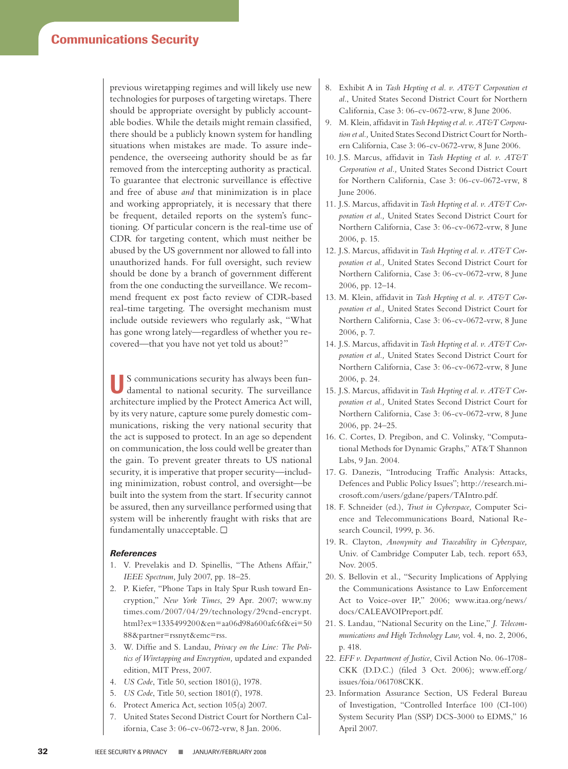previous wiretapping regimes and will likely use new technologies for purposes of targeting wiretaps. There should be appropriate oversight by publicly accountable bodies. While the details might remain classified, there should be a publicly known system for handling situations when mistakes are made. To assure independence, the overseeing authority should be as far removed from the intercepting authority as practical. To guarantee that electronic surveillance is effective and free of abuse *and* that minimization is in place and working appropriately, it is necessary that there be frequent, detailed reports on the system's functioning. Of particular concern is the real-time use of CDR for targeting content, which must neither be abused by the US government nor allowed to fall into unauthorized hands. For full oversight, such review should be done by a branch of government different from the one conducting the surveillance. We recommend frequent ex post facto review of CDR-based real-time targeting. The oversight mechanism must include outside reviewers who regularly ask, "What has gone wrong lately—regardless of whether you recovered—that you have not yet told us about?"

US communications security has always been fun-damental to national security. The surveillance architecture implied by the Protect America Act will, by its very nature, capture some purely domestic communications, risking the very national security that the act is supposed to protect. In an age so dependent on communication, the loss could well be greater than the gain. To prevent greater threats to US national security, it is imperative that proper security—including minimization, robust control, and oversight—be built into the system from the start. If security cannot be assured, then any surveillance performed using that system will be inherently fraught with risks that are fundamentally unacceptable.  $\square$ 

#### *References*

- V. Prevelakis and D. Spinellis, "The Athens Affair," 1. *IEEE Spectrum,* July 2007, pp. 18–25.
- 2. P. Kiefer, "Phone Taps in Italy Spur Rush toward Encryption," *New York Times*, 29 Apr. 2007; www.ny times.com/2007/04/29/technology/29cnd-encrypt. html?ex=1335499200&en=aa06d98a600afc6f&ei=50 88&partner=rssnyt&emc=rss.
- W. Diffie and S. Landau, *Privacy on the Line: The Poli-*3. *tics of Wiretapping and Encryption,* updated and expanded edition, MIT Press, 2007.
- *US Code*, Title 50, section 1801(i), 1978. 4.
- *US Code*, Title 50, section 1801(f), 1978. 5.
- 6. Protect America Act, section 105(a) 2007.
- 7. United States Second District Court for Northern California, Case 3: 06-cv-0672-vrw, 8 Jan. 2006.
- Exhibit A in *Tash Hepting et al. v. AT&T Corporation et*  8. *al.*, United States Second District Court for Northern California, Case 3: 06-cv-0672-vrw, 8 June 2006.
- M. Klein, affidavit in *Tash Hepting et al. v. AT&T Corpora-*9. *tion et al.,* United States Second District Court for Northern California, Case 3: 06-cv-0672-vrw, 8 June 2006.
- J.S. Marcus, affidavit in *Tash Hepting et al. v. AT&T*  10. *Corporation et al.,* United States Second District Court for Northern California, Case 3: 06-cv-0672-vrw, 8 June 2006.
- J.S. Marcus, affidavit in *Tash Hepting et al. v. AT&T Cor-*11. *poration et al.,* United States Second District Court for Northern California, Case 3: 06-cv-0672-vrw, 8 June 2006, p. 15.
- J.S. Marcus, affidavit in *Tash Hepting et al. v. AT&T Cor-*12. *poration et al.,* United States Second District Court for Northern California, Case 3: 06-cv-0672-vrw, 8 June 2006, pp. 12–14.
- M. Klein, affidavit in *Tash Hepting et al. v. AT&T Cor-*13. *poration et al.,* United States Second District Court for Northern California, Case 3: 06-cv-0672-vrw, 8 June 2006, p. 7.
- J.S. Marcus, affidavit in *Tash Hepting et al. v. AT&T Cor-*14. *poration et al.,* United States Second District Court for Northern California, Case 3: 06-cv-0672-vrw, 8 June 2006, p. 24.
- J.S. Marcus, affidavit in *Tash Hepting et al. v. AT&T Cor-*15. *poration et al.,* United States Second District Court for Northern California, Case 3: 06-cv-0672-vrw, 8 June 2006, pp. 24–25.
- 16. C. Cortes, D. Pregibon, and C. Volinsky, "Computational Methods for Dynamic Graphs," AT&T Shannon Labs, 9 Jan. 2004.
- 17. G. Danezis, "Introducing Traffic Analysis: Attacks, Defences and Public Policy Issues"; http://research.microsoft.com/users/gdane/papers/TAIntro.pdf.
- 18. F. Schneider (ed.), *Trust in Cyberspace*, Computer Science and Telecommunications Board, National Research Council, 1999, p. 36.
- 19. R. Clayton, Anonymity and Traceability in Cyberspace, Univ. of Cambridge Computer Lab, tech. report 653, Nov. 2005.
- 20. S. Bellovin et al., "Security Implications of Applying the Communications Assistance to Law Enforcement Act to Voice-over IP," 2006; www.itaa.org/news/ docs/CALEAVOIPreport.pdf.
- 21. S. Landau, "National Security on the Line," *J. Telecommunications and High Technology Law,* vol. 4, no. 2, 2006, p. 418.
- *EFF v. Department of Justice*, Civil Action No. 06-1708- 22. CKK (D.D.C.) (filed 3 Oct. 2006); www.eff.org/ issues/foia/061708CKK.
- 23. Information Assurance Section, US Federal Bureau of Investigation, "Controlled Interface 100 (CI-100) System Security Plan (SSP) DCS-3000 to EDMS," 16 April 2007.